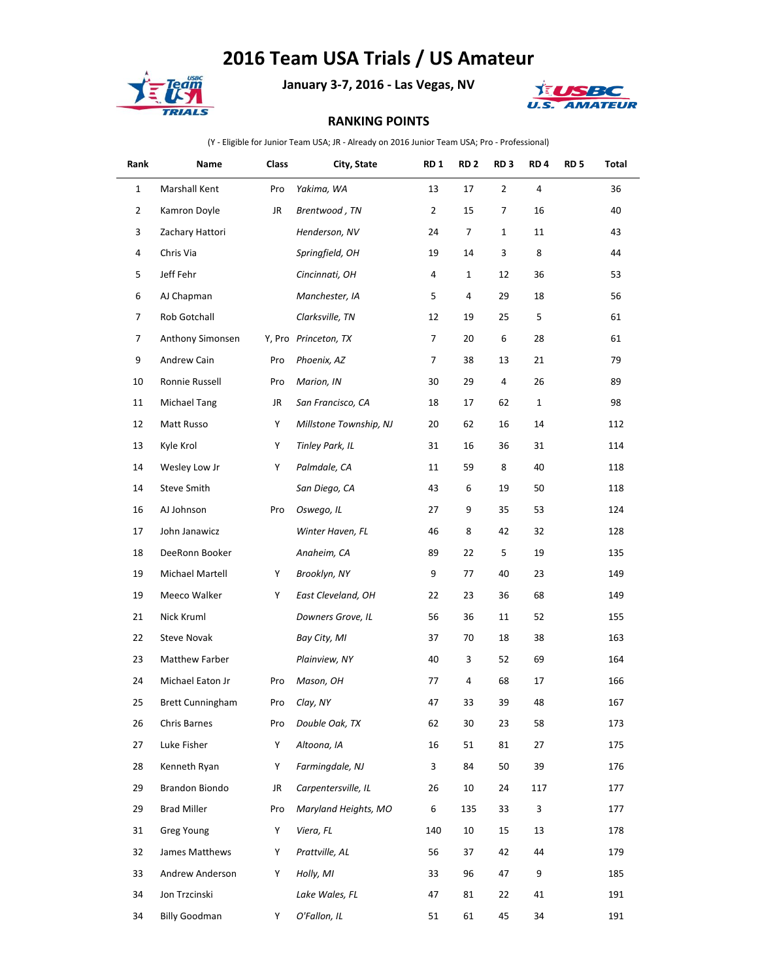## **2016 Team USA Trials / US Amateur**



**January 3-7, 2016 - Las Vegas, NV**



## **RANKING POINTS**

(Y - Eligible for Junior Team USA; JR - Already on 2016 Junior Team USA; Pro - Professional)

| Rank           | Name                    | Class | City, State            | RD <sub>1</sub> | RD <sub>2</sub> | RD <sub>3</sub> | RD <sub>4</sub> | RD <sub>5</sub> | Total |
|----------------|-------------------------|-------|------------------------|-----------------|-----------------|-----------------|-----------------|-----------------|-------|
| $\mathbf{1}$   | Marshall Kent           | Pro   | Yakima, WA             | 13              | 17              | $\overline{2}$  | 4               |                 | 36    |
| $\overline{2}$ | Kamron Doyle            | JR    | Brentwood, TN          | $\overline{2}$  | 15              | 7               | 16              |                 | 40    |
| 3              | Zachary Hattori         |       | Henderson, NV          | 24              | 7               | $\mathbf{1}$    | 11              |                 | 43    |
| 4              | Chris Via               |       | Springfield, OH        | 19              | 14              | 3               | 8               |                 | 44    |
| 5              | Jeff Fehr               |       | Cincinnati, OH         | 4               | $\mathbf{1}$    | 12              | 36              |                 | 53    |
| 6              | AJ Chapman              |       | Manchester, IA         | 5               | 4               | 29              | 18              |                 | 56    |
| 7              | Rob Gotchall            |       | Clarksville, TN        | 12              | 19              | 25              | 5               |                 | 61    |
| 7              | Anthony Simonsen        |       | Y, Pro Princeton, TX   | 7               | 20              | 6               | 28              |                 | 61    |
| 9              | Andrew Cain             | Pro   | Phoenix, AZ            | 7               | 38              | 13              | 21              |                 | 79    |
| 10             | Ronnie Russell          | Pro   | Marion, IN             | 30              | 29              | 4               | 26              |                 | 89    |
| 11             | Michael Tang            | JR    | San Francisco, CA      | 18              | 17              | 62              | $1\,$           |                 | 98    |
| 12             | Matt Russo              | Υ     | Millstone Township, NJ | 20              | 62              | 16              | 14              |                 | 112   |
| 13             | Kyle Krol               | Y     | Tinley Park, IL        | 31              | 16              | 36              | 31              |                 | 114   |
| 14             | Wesley Low Jr           | Y     | Palmdale, CA           | 11              | 59              | 8               | 40              |                 | 118   |
| 14             | Steve Smith             |       | San Diego, CA          | 43              | 6               | 19              | 50              |                 | 118   |
| 16             | AJ Johnson              | Pro   | Oswego, IL             | 27              | 9               | 35              | 53              |                 | 124   |
| 17             | John Janawicz           |       | Winter Haven, FL       | 46              | 8               | 42              | 32              |                 | 128   |
| 18             | DeeRonn Booker          |       | Anaheim, CA            | 89              | 22              | 5               | 19              |                 | 135   |
| 19             | Michael Martell         | Υ     | Brooklyn, NY           | 9               | 77              | 40              | 23              |                 | 149   |
| 19             | Meeco Walker            | Y     | East Cleveland, OH     | 22              | 23              | 36              | 68              |                 | 149   |
| 21             | Nick Kruml              |       | Downers Grove, IL      | 56              | 36              | 11              | 52              |                 | 155   |
| 22             | Steve Novak             |       | Bay City, MI           | 37              | 70              | 18              | 38              |                 | 163   |
| 23             | <b>Matthew Farber</b>   |       | Plainview, NY          | 40              | 3               | 52              | 69              |                 | 164   |
| 24             | Michael Eaton Jr        | Pro   | Mason, OH              | 77              | 4               | 68              | 17              |                 | 166   |
| 25             | <b>Brett Cunningham</b> | Pro   | Clay, NY               | 47              | 33              | 39              | 48              |                 | 167   |
| 26             | Chris Barnes            | Pro   | Double Oak, TX         | 62              | $30\,$          | 23              | 58              |                 | 173   |
| 27             | Luke Fisher             | Y     | Altoona, IA            | 16              | 51              | 81              | 27              |                 | 175   |
| 28             | Kenneth Ryan            | Y     | Farmingdale, NJ        | 3               | 84              | 50              | 39              |                 | 176   |
| 29             | Brandon Biondo          | JR    | Carpentersville, IL    | 26              | 10              | 24              | 117             |                 | 177   |
| 29             | <b>Brad Miller</b>      | Pro   | Maryland Heights, MO   | 6               | 135             | 33              | 3               |                 | 177   |
| 31             | Greg Young              | Y     | Viera, FL              | 140             | 10              | 15              | 13              |                 | 178   |
| 32             | James Matthews          | Y     | Prattville, AL         | 56              | 37              | 42              | 44              |                 | 179   |
| 33             | Andrew Anderson         | Y     | Holly, MI              | 33              | 96              | 47              | 9               |                 | 185   |
| 34             | Jon Trzcinski           |       | Lake Wales, FL         | 47              | 81              | 22              | 41              |                 | 191   |
| 34             | <b>Billy Goodman</b>    | Y     | O'Fallon, IL           | 51              | 61              | 45              | 34              |                 | 191   |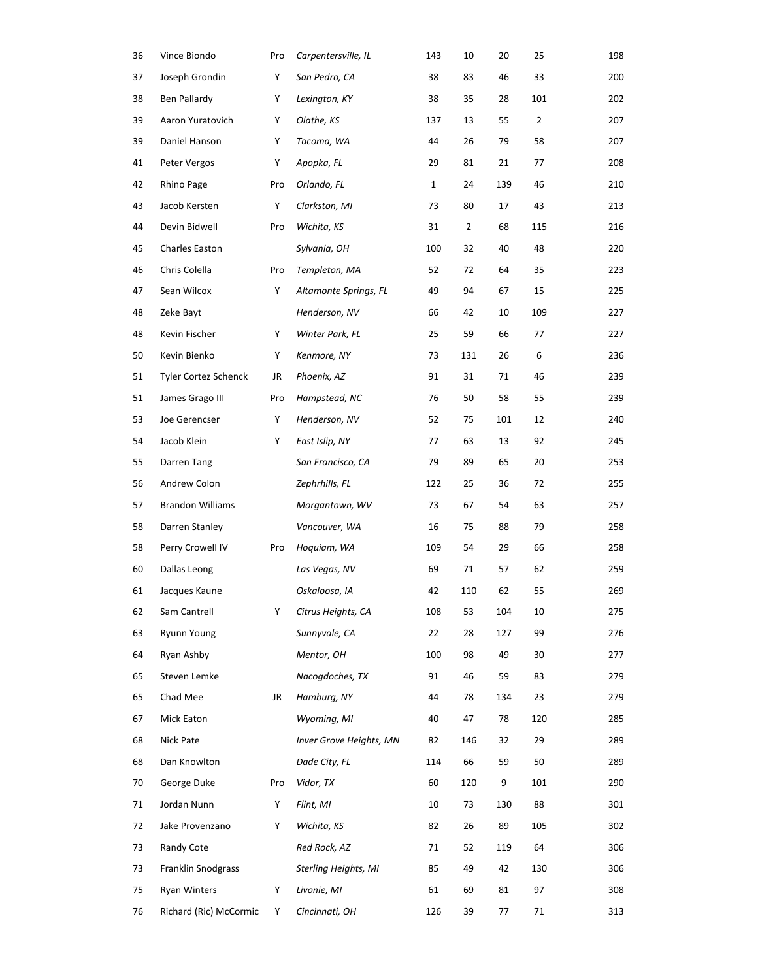| 36 | Vince Biondo                | Pro | Carpentersville, IL         | 143 | 10  | 20  | 25  | 198 |
|----|-----------------------------|-----|-----------------------------|-----|-----|-----|-----|-----|
| 37 | Joseph Grondin              | Υ   | San Pedro, CA               | 38  | 83  | 46  | 33  | 200 |
| 38 | Ben Pallardy                | Y   | Lexington, KY               | 38  | 35  | 28  | 101 | 202 |
| 39 | Aaron Yuratovich            | Y   | Olathe, KS                  | 137 | 13  | 55  | 2   | 207 |
| 39 | Daniel Hanson               | Υ   | Tacoma, WA                  | 44  | 26  | 79  | 58  | 207 |
| 41 | Peter Vergos                | Υ   | Apopka, FL                  | 29  | 81  | 21  | 77  | 208 |
| 42 | Rhino Page                  | Pro | Orlando, FL                 | 1   | 24  | 139 | 46  | 210 |
| 43 | Jacob Kersten               | Υ   | Clarkston, MI               | 73  | 80  | 17  | 43  | 213 |
| 44 | Devin Bidwell               | Pro | Wichita, KS                 | 31  | 2   | 68  | 115 | 216 |
| 45 | Charles Easton              |     | Sylvania, OH                | 100 | 32  | 40  | 48  | 220 |
| 46 | Chris Colella               | Pro | Templeton, MA               | 52  | 72  | 64  | 35  | 223 |
| 47 | Sean Wilcox                 | Y   | Altamonte Springs, FL       | 49  | 94  | 67  | 15  | 225 |
| 48 | Zeke Bayt                   |     | Henderson, NV               | 66  | 42  | 10  | 109 | 227 |
| 48 | Kevin Fischer               | Y   | Winter Park, FL             | 25  | 59  | 66  | 77  | 227 |
| 50 | Kevin Bienko                | Υ   | Kenmore, NY                 | 73  | 131 | 26  | 6   | 236 |
| 51 | <b>Tyler Cortez Schenck</b> | JR  | Phoenix, AZ                 | 91  | 31  | 71  | 46  | 239 |
| 51 | James Grago III             | Pro | Hampstead, NC               | 76  | 50  | 58  | 55  | 239 |
| 53 | Joe Gerencser               | Y   | Henderson, NV               | 52  | 75  | 101 | 12  | 240 |
| 54 | Jacob Klein                 | Υ   | East Islip, NY              | 77  | 63  | 13  | 92  | 245 |
| 55 | Darren Tang                 |     | San Francisco, CA           | 79  | 89  | 65  | 20  | 253 |
| 56 | Andrew Colon                |     | Zephrhills, FL              | 122 | 25  | 36  | 72  | 255 |
| 57 | <b>Brandon Williams</b>     |     | Morgantown, WV              | 73  | 67  | 54  | 63  | 257 |
| 58 | Darren Stanley              |     | Vancouver, WA               | 16  | 75  | 88  | 79  | 258 |
| 58 | Perry Crowell IV            | Pro | Hoquiam, WA                 | 109 | 54  | 29  | 66  | 258 |
| 60 | Dallas Leong                |     | Las Vegas, NV               | 69  | 71  | 57  | 62  | 259 |
| 61 | Jacques Kaune               |     | Oskaloosa, IA               | 42  | 110 | 62  | 55  | 269 |
| 62 | Sam Cantrell                | Y   | Citrus Heights, CA          | 108 | 53  | 104 | 10  | 275 |
| 63 | <b>Ryunn Young</b>          |     | Sunnyvale, CA               | 22  | 28  | 127 | 99  | 276 |
| 64 | Ryan Ashby                  |     | Mentor, OH                  | 100 | 98  | 49  | 30  | 277 |
| 65 | Steven Lemke                |     | Nacogdoches, TX             | 91  | 46  | 59  | 83  | 279 |
| 65 | Chad Mee                    | JR  | Hamburg, NY                 | 44  | 78  | 134 | 23  | 279 |
| 67 | Mick Eaton                  |     | Wyoming, MI                 | 40  | 47  | 78  | 120 | 285 |
| 68 | Nick Pate                   |     | Inver Grove Heights, MN     | 82  | 146 | 32  | 29  | 289 |
| 68 | Dan Knowlton                |     | Dade City, FL               | 114 | 66  | 59  | 50  | 289 |
| 70 | George Duke                 | Pro | Vidor, TX                   | 60  | 120 | 9   | 101 | 290 |
| 71 | Jordan Nunn                 | Y   | Flint, MI                   | 10  | 73  | 130 | 88  | 301 |
| 72 | Jake Provenzano             | Y   | Wichita, KS                 | 82  | 26  | 89  | 105 | 302 |
| 73 | Randy Cote                  |     | Red Rock, AZ                | 71  | 52  | 119 | 64  | 306 |
| 73 | Franklin Snodgrass          |     | <b>Sterling Heights, MI</b> | 85  | 49  | 42  | 130 | 306 |
| 75 | <b>Ryan Winters</b>         | Y   | Livonie, MI                 | 61  | 69  | 81  | 97  | 308 |
| 76 | Richard (Ric) McCormic      | Y   | Cincinnati, OH              | 126 | 39  | 77  | 71  | 313 |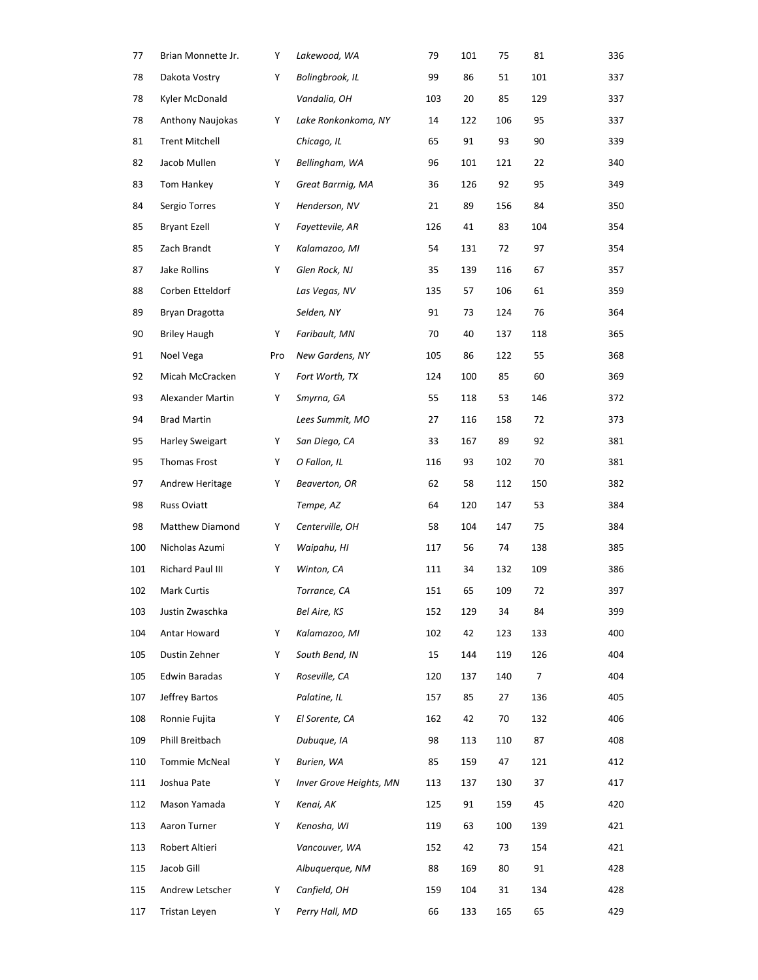| 77  | Brian Monnette Jr.      | Υ   | Lakewood, WA            | 79  | 101 | 75  | 81  | 336 |
|-----|-------------------------|-----|-------------------------|-----|-----|-----|-----|-----|
| 78  | Dakota Vostry           | Υ   | Bolingbrook, IL         | 99  | 86  | 51  | 101 | 337 |
| 78  | Kyler McDonald          |     | Vandalia, OH            | 103 | 20  | 85  | 129 | 337 |
| 78  | <b>Anthony Naujokas</b> | Y   | Lake Ronkonkoma, NY     | 14  | 122 | 106 | 95  | 337 |
| 81  | <b>Trent Mitchell</b>   |     | Chicago, IL             | 65  | 91  | 93  | 90  | 339 |
| 82  | Jacob Mullen            | Y   | Bellingham, WA          | 96  | 101 | 121 | 22  | 340 |
| 83  | Tom Hankey              | Y   | Great Barrnig, MA       | 36  | 126 | 92  | 95  | 349 |
| 84  | Sergio Torres           | Y   | Henderson, NV           | 21  | 89  | 156 | 84  | 350 |
| 85  | <b>Bryant Ezell</b>     | Y   | Fayettevile, AR         | 126 | 41  | 83  | 104 | 354 |
| 85  | Zach Brandt             | Y   | Kalamazoo, MI           | 54  | 131 | 72  | 97  | 354 |
| 87  | Jake Rollins            | Y   | Glen Rock, NJ           | 35  | 139 | 116 | 67  | 357 |
| 88  | Corben Etteldorf        |     | Las Vegas, NV           | 135 | 57  | 106 | 61  | 359 |
| 89  | Bryan Dragotta          |     | Selden, NY              | 91  | 73  | 124 | 76  | 364 |
| 90  | <b>Briley Haugh</b>     | Y   | Faribault, MN           | 70  | 40  | 137 | 118 | 365 |
| 91  | Noel Vega               | Pro | New Gardens, NY         | 105 | 86  | 122 | 55  | 368 |
| 92  | Micah McCracken         | Υ   | Fort Worth, TX          | 124 | 100 | 85  | 60  | 369 |
| 93  | Alexander Martin        | Y   | Smyrna, GA              | 55  | 118 | 53  | 146 | 372 |
| 94  | <b>Brad Martin</b>      |     | Lees Summit, MO         | 27  | 116 | 158 | 72  | 373 |
| 95  | <b>Harley Sweigart</b>  | Y   | San Diego, CA           | 33  | 167 | 89  | 92  | 381 |
| 95  | Thomas Frost            | Y   | O Fallon, IL            | 116 | 93  | 102 | 70  | 381 |
| 97  | Andrew Heritage         | Y   | Beaverton, OR           | 62  | 58  | 112 | 150 | 382 |
| 98  | <b>Russ Oviatt</b>      |     | Tempe, AZ               | 64  | 120 | 147 | 53  | 384 |
| 98  | Matthew Diamond         | Υ   | Centerville, OH         | 58  | 104 | 147 | 75  | 384 |
| 100 | Nicholas Azumi          | Υ   | Waipahu, HI             | 117 | 56  | 74  | 138 | 385 |
| 101 | Richard Paul III        | Υ   | Winton, CA              | 111 | 34  | 132 | 109 | 386 |
| 102 | Mark Curtis             |     | Torrance, CA            | 151 | 65  | 109 | 72  | 397 |
| 103 | Justin Zwaschka         |     | Bel Aire, KS            | 152 | 129 | 34  | 84  | 399 |
| 104 | Antar Howard            | Y   | Kalamazoo, MI           | 102 | 42  | 123 | 133 | 400 |
| 105 | Dustin Zehner           | Y   | South Bend, IN          | 15  | 144 | 119 | 126 | 404 |
| 105 | Edwin Baradas           | Y   | Roseville, CA           | 120 | 137 | 140 | 7   | 404 |
| 107 | Jeffrey Bartos          |     | Palatine, IL            | 157 | 85  | 27  | 136 | 405 |
| 108 | Ronnie Fujita           | Y   | El Sorente, CA          | 162 | 42  | 70  | 132 | 406 |
| 109 | Phill Breitbach         |     | Dubuque, IA             | 98  | 113 | 110 | 87  | 408 |
| 110 | Tommie McNeal           | Y   | Burien, WA              | 85  | 159 | 47  | 121 | 412 |
| 111 | Joshua Pate             | Y   | Inver Grove Heights, MN | 113 | 137 | 130 | 37  | 417 |
| 112 | Mason Yamada            | Y   | Kenai, AK               | 125 | 91  | 159 | 45  | 420 |
| 113 | Aaron Turner            | Y   | Kenosha, WI             | 119 | 63  | 100 | 139 | 421 |
| 113 | Robert Altieri          |     | Vancouver, WA           | 152 | 42  | 73  | 154 | 421 |
| 115 | Jacob Gill              |     | Albuquerque, NM         | 88  | 169 | 80  | 91  | 428 |
| 115 | Andrew Letscher         | Y   | Canfield, OH            | 159 | 104 | 31  | 134 | 428 |
| 117 | Tristan Leyen           | Y   | Perry Hall, MD          | 66  | 133 | 165 | 65  | 429 |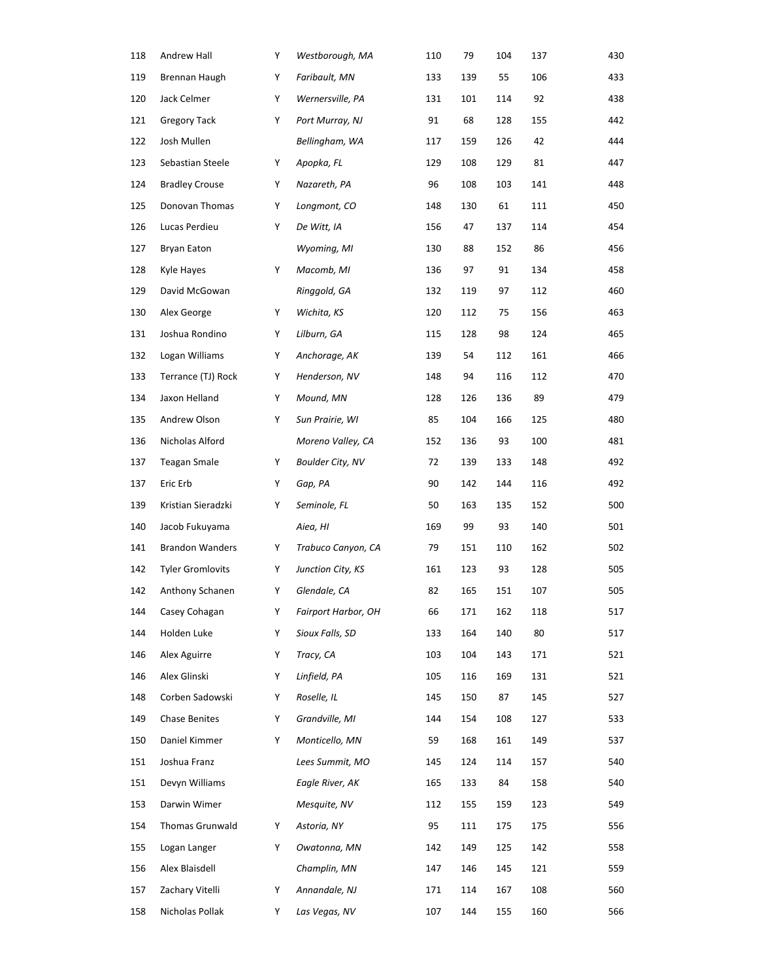| 118 | Andrew Hall             | Y | Westborough, MA         | 110 | 79  | 104 | 137 | 430 |
|-----|-------------------------|---|-------------------------|-----|-----|-----|-----|-----|
| 119 | Brennan Haugh           | Y | Faribault, MN           | 133 | 139 | 55  | 106 | 433 |
| 120 | Jack Celmer             | Y | Wernersville, PA        | 131 | 101 | 114 | 92  | 438 |
| 121 | <b>Gregory Tack</b>     | Y | Port Murray, NJ         | 91  | 68  | 128 | 155 | 442 |
| 122 | Josh Mullen             |   | Bellingham, WA          | 117 | 159 | 126 | 42  | 444 |
| 123 | Sebastian Steele        | Y | Apopka, FL              | 129 | 108 | 129 | 81  | 447 |
| 124 | <b>Bradley Crouse</b>   | Υ | Nazareth, PA            | 96  | 108 | 103 | 141 | 448 |
| 125 | Donovan Thomas          | Y | Longmont, CO            | 148 | 130 | 61  | 111 | 450 |
| 126 | Lucas Perdieu           | Υ | De Witt, IA             | 156 | 47  | 137 | 114 | 454 |
| 127 | <b>Bryan Eaton</b>      |   | Wyoming, MI             | 130 | 88  | 152 | 86  | 456 |
| 128 | Kyle Hayes              | Y | Macomb, MI              | 136 | 97  | 91  | 134 | 458 |
| 129 | David McGowan           |   | Ringgold, GA            | 132 | 119 | 97  | 112 | 460 |
| 130 | Alex George             | Y | Wichita, KS             | 120 | 112 | 75  | 156 | 463 |
| 131 | Joshua Rondino          | Υ | Lilburn, GA             | 115 | 128 | 98  | 124 | 465 |
| 132 | Logan Williams          | Y | Anchorage, AK           | 139 | 54  | 112 | 161 | 466 |
| 133 | Terrance (TJ) Rock      | Y | Henderson, NV           | 148 | 94  | 116 | 112 | 470 |
| 134 | Jaxon Helland           | Υ | Mound, MN               | 128 | 126 | 136 | 89  | 479 |
| 135 | Andrew Olson            | Y | Sun Prairie, WI         | 85  | 104 | 166 | 125 | 480 |
| 136 | Nicholas Alford         |   | Moreno Valley, CA       | 152 | 136 | 93  | 100 | 481 |
| 137 | <b>Teagan Smale</b>     | Y | <b>Boulder City, NV</b> | 72  | 139 | 133 | 148 | 492 |
| 137 | Eric Erb                | Y | Gap, PA                 | 90  | 142 | 144 | 116 | 492 |
| 139 | Kristian Sieradzki      | Υ | Seminole, FL            | 50  | 163 | 135 | 152 | 500 |
| 140 | Jacob Fukuyama          |   | Aiea, HI                | 169 | 99  | 93  | 140 | 501 |
| 141 | <b>Brandon Wanders</b>  | Y | Trabuco Canyon, CA      | 79  | 151 | 110 | 162 | 502 |
| 142 | <b>Tyler Gromlovits</b> | Y | Junction City, KS       | 161 | 123 | 93  | 128 | 505 |
| 142 | Anthony Schanen         | Y | Glendale, CA            | 82  | 165 | 151 | 107 | 505 |
| 144 | Casey Cohagan           | Y | Fairport Harbor, OH     | 66  | 171 | 162 | 118 | 517 |
| 144 | Holden Luke             | Υ | Sioux Falls, SD         | 133 | 164 | 140 | 80  | 517 |
| 146 | Alex Aguirre            | Y | Tracy, CA               | 103 | 104 | 143 | 171 | 521 |
| 146 | Alex Glinski            | Υ | Linfield, PA            | 105 | 116 | 169 | 131 | 521 |
| 148 | Corben Sadowski         | Y | Roselle, IL             | 145 | 150 | 87  | 145 | 527 |
| 149 | Chase Benites           | Y | Grandville, MI          | 144 | 154 | 108 | 127 | 533 |
| 150 | Daniel Kimmer           | Υ | Monticello, MN          | 59  | 168 | 161 | 149 | 537 |
| 151 | Joshua Franz            |   | Lees Summit, MO         | 145 | 124 | 114 | 157 | 540 |
| 151 | Devyn Williams          |   | Eagle River, AK         | 165 | 133 | 84  | 158 | 540 |
| 153 | Darwin Wimer            |   | Mesquite, NV            | 112 | 155 | 159 | 123 | 549 |
| 154 | Thomas Grunwald         | Y | Astoria, NY             | 95  | 111 | 175 | 175 | 556 |
| 155 | Logan Langer            | Y | Owatonna, MN            | 142 | 149 | 125 | 142 | 558 |
| 156 | Alex Blaisdell          |   | Champlin, MN            | 147 | 146 | 145 | 121 | 559 |
| 157 | Zachary Vitelli         | Y | Annandale, NJ           | 171 | 114 | 167 | 108 | 560 |
| 158 | Nicholas Pollak         | Y | Las Vegas, NV           | 107 | 144 | 155 | 160 | 566 |